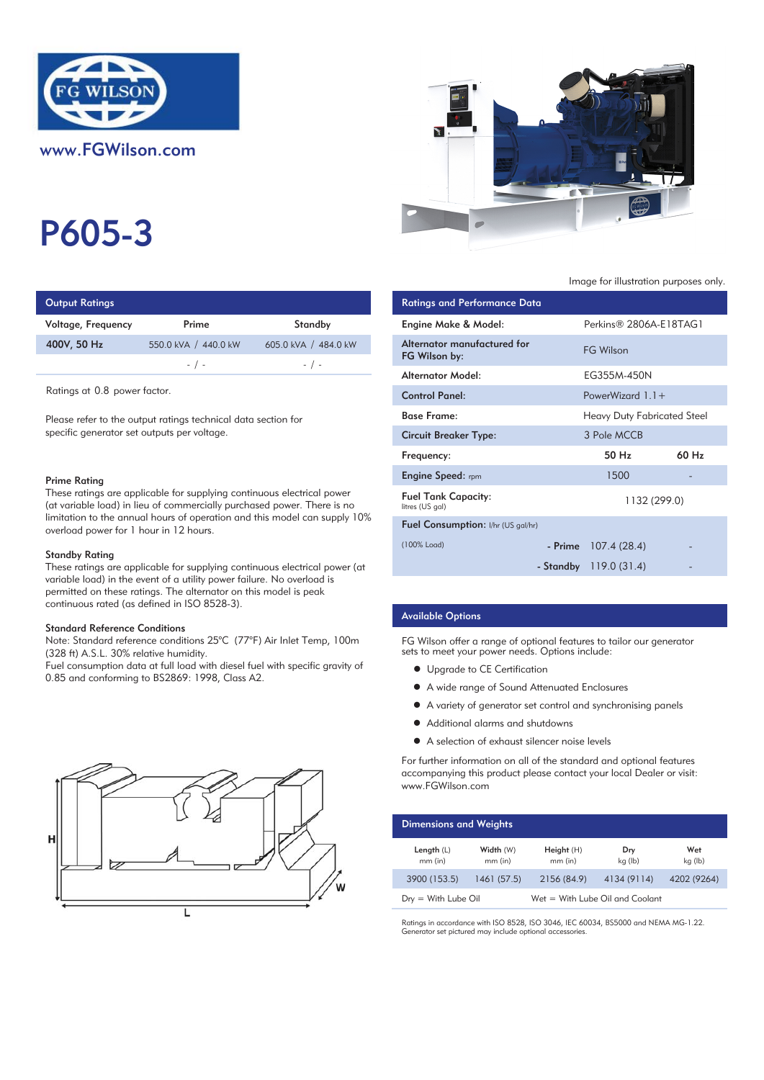

# P605-3

| <b>Output Ratings</b> |                      |                      | Ratings and Performance Data |
|-----------------------|----------------------|----------------------|------------------------------|
| Voltage, Frequency    | Prime                | Standby              | Engine Make & Model:         |
| 400V, 50 Hz           | 550.0 kVA / 440.0 kW | 605.0 kVA / 484.0 kW | Alternator manufactured for  |
|                       | $-$ / $-$            | $-$ / $-$            | FG Wilson by:                |
|                       |                      |                      | والمامسة فالمستور ويستملك    |

Ratings at 0.8 power factor.

Please refer to the output ratings technical data section for specific generator set outputs per voltage.

#### Prime Rating

These ratings are applicable for supplying continuous electrical power (at variable load) in lieu of commercially purchased power. There is no limitation to the annual hours of operation and this model can supply 10% overload power for 1 hour in 12 hours.

#### Standby Rating

These ratings are applicable for supplying continuous electrical power (at variable load) in the event of a utility power failure. No overload is permitted on these ratings. The alternator on this model is peak continuous rated (as defined in ISO 8528-3).

#### Standard Reference Conditions

Note: Standard reference conditions 25°C (77°F) Air Inlet Temp, 100m (328 ft) A.S.L. 30% relative humidity.

Fuel consumption data at full load with diesel fuel with specific gravity of 0.85 and conforming to BS2869: 1998, Class A2.





## Image for illustration purposes only.

| Ratings and Performance Data                  |                                    |       |
|-----------------------------------------------|------------------------------------|-------|
| Engine Make & Model:                          | Perkins® 2806A-E18TAG1             |       |
| Alternator manufactured for<br>FG Wilson by:  | <b>FG Wilson</b>                   |       |
| Alternator Model:                             | EG355M-450N                        |       |
| <b>Control Panel:</b>                         | PowerWizard $1.1 +$                |       |
| <b>Base Frame:</b>                            | <b>Heavy Duty Fabricated Steel</b> |       |
| <b>Circuit Breaker Type:</b>                  | 3 Pole MCCB                        |       |
| Frequency:                                    | 50 Hz                              | 60 Hz |
| <b>Engine Speed: rpm</b>                      | 1500                               |       |
| <b>Fuel Tank Capacity:</b><br>litres (US gal) | 1132 (299.0)                       |       |
| <b>Fuel Consumption:</b> I/hr (US gal/hr)     |                                    |       |
| (100% Load)                                   | - Prime $107.4(28.4)$              |       |
|                                               | - Standby $119.0(31.4)$            |       |

## Available Options

FG Wilson offer a range of optional features to tailor our generator sets to meet your power needs. Options include:

- **•** Upgrade to CE Certification
- A wide range of Sound Attenuated Enclosures
- A variety of generator set control and synchronising panels
- Additional alarms and shutdowns
- A selection of exhaust silencer noise levels

For further information on all of the standard and optional features accompanying this product please contact your local Dealer or visit: www.FGWilson.com

| <b>Dimensions and Weights</b> |                        |                                 |                |                |
|-------------------------------|------------------------|---------------------------------|----------------|----------------|
| Length $(L)$<br>$mm$ (in)     | Width (W)<br>$mm$ (in) | Height(H)<br>$mm$ (in)          | Dry<br>kg (lb) | Wet<br>kg (lb) |
| 3900 (153.5)                  | 1461(57.5)             | 2156 (84.9)                     | 4134 (9114)    | 4202 (9264)    |
| $Drv = With Lube Oil$         |                        | Wet = With Lube Oil and Coolant |                |                |

Ratings in accordance with ISO 8528, ISO 3046, IEC 60034, BS5000 and NEMA MG-1.22. Generator set pictured may include optional accessories.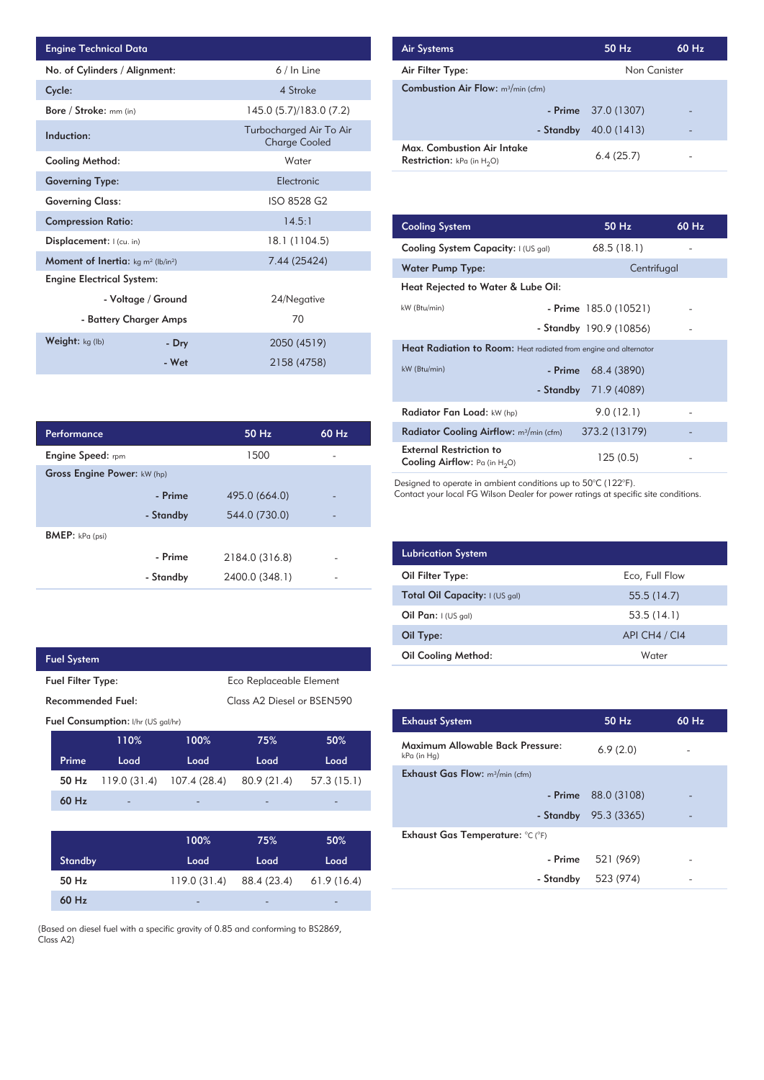| <b>Engine Technical Data</b>                                |                    |                                                 | <b>Air Systems</b>  |
|-------------------------------------------------------------|--------------------|-------------------------------------------------|---------------------|
| No. of Cylinders / Alignment:                               |                    | 6 / In Line                                     | Air Filter Ty       |
| Cycle:                                                      |                    | 4 Stroke                                        | Combustior          |
| Bore / Stroke: mm (in)                                      |                    | 145.0 (5.7)/183.0 (7.2)                         |                     |
| Induction:                                                  |                    | Turbocharged Air To Air<br><b>Charge Cooled</b> | Max. Comb           |
| Cooling Method:                                             |                    | Water                                           | <b>Restriction:</b> |
| <b>Governing Type:</b>                                      |                    | Electronic                                      |                     |
| <b>Governing Class:</b>                                     |                    | ISO 8528 G2                                     |                     |
| <b>Compression Ratio:</b>                                   |                    | 14.5:1                                          | <b>Cooling Sys</b>  |
| Displacement:   (cu. in)                                    |                    | 18.1 (1104.5)                                   | <b>Cooling Sys</b>  |
| <b>Moment of Inertia:</b> $kg \, m^2$ (lb/in <sup>2</sup> ) |                    | 7.44 (25424)                                    | Water Pum           |
| <b>Engine Electrical System:</b>                            |                    |                                                 | <b>Heat Reject</b>  |
|                                                             | - Voltage / Ground | 24/Negative                                     |                     |
| - Battery Charger Amps                                      |                    | 70                                              | kW (Btu/min)        |
| Weight: kg (lb)                                             | - Dry              | 2050 (4519)                                     | <b>Heat Radia</b>   |
|                                                             | - Wet              | 2158 (4758)                                     | kW (Btu/min)        |

| <b>Air Systems</b>                                                 | $50$ Hz              | $60$ Hz |
|--------------------------------------------------------------------|----------------------|---------|
| Air Filter Type:                                                   | Non Canister         |         |
| <b>Combustion Air Flow:</b> m <sup>3</sup> /min (cfm)              |                      |         |
|                                                                    | - Prime $37.0(1307)$ |         |
| - Standby                                                          | 40.0 (1413)          |         |
| Max. Combustion Air Intake<br><b>Restriction:</b> kPa (in $H_2O$ ) | 6.4(25.7)            |         |

| 14.5:1         | <b>Cooling System</b>                                                     | 50 Hz                   | 60 Hz |
|----------------|---------------------------------------------------------------------------|-------------------------|-------|
| 18.1 (1104.5)  | Cooling System Capacity: I (US gal)                                       | 68.5(18.1)              |       |
| 7.44 (25424)   | Water Pump Type:                                                          | Centrifugal             |       |
|                | Heat Rejected to Water & Lube Oil:                                        |                         |       |
| 24/Negative    | kW (Btu/min)                                                              | $-$ Prime 185.0 (10521) |       |
| 70             |                                                                           | - Standby 190.9 (10856) |       |
| 2050 (4519)    | <b>Heat Radiation to Room:</b> Heat radiated from engine and alternator   |                         |       |
| 2158 (4758)    | kW (Btu/min)<br>- Prime                                                   | 68.4 (3890)             |       |
|                | - Standby                                                                 | 71.9 (4089)             |       |
|                | Radiator Fan Load: kW (hp)                                                | 9.0(12.1)               |       |
| 60 Hz<br>50 Hz | Radiator Cooling Airflow: m <sup>3</sup> /min (cfm)                       | 373.2 (13179)           |       |
| 1500           | <b>External Restriction to</b><br><b>Cooling Airflow:</b> Pa (in $H_2O$ ) | 125(0.5)                |       |

Designed to operate in ambient conditions up to 50°C (122°F).

Contact your local FG Wilson Dealer for power ratings at specific site conditions.

| <b>Lubrication System</b>      |                |  |  |
|--------------------------------|----------------|--|--|
| Oil Filter Type:               | Eco, Full Flow |  |  |
| Total Oil Capacity: I (US gal) | 55.5(14.7)     |  |  |
| Oil Pan: $I(US \text{ gal})$   | 53.5(14.1)     |  |  |
| Oil Type:                      | API CH4 / CI4  |  |  |
| <b>Oil Cooling Method:</b>     | Water          |  |  |

| <b>Exhaust System</b>                           | 50 Hz                  | 60 Hz |
|-------------------------------------------------|------------------------|-------|
| Maximum Allowable Back Pressure:<br>kPa (in Hg) | 6.9(2.0)               |       |
| <b>Exhaust Gas Flow:</b> $m^3/m$ in (cfm)       |                        |       |
|                                                 | $-$ Prime $88.0(3108)$ |       |
|                                                 | - Standby $95.3(3365)$ |       |
| Exhaust Gas Temperature: °C (°F)                |                        |       |
| - Prime                                         | 521 (969)              |       |
| - Standby                                       | 523 (974)              |       |
|                                                 |                        |       |

| Performance                        |           | 50 Hz          | 60 Hz |
|------------------------------------|-----------|----------------|-------|
| <b>Engine Speed:</b> rpm           |           | 1500           |       |
| <b>Gross Engine Power: kW (hp)</b> |           |                |       |
|                                    | - Prime   | 495.0 (664.0)  |       |
|                                    | - Standby | 544.0 (730.0)  |       |
| <b>BMEP:</b> $kPa$ (psi)           |           |                |       |
|                                    | - Prime   | 2184.0 (316.8) |       |
|                                    | - Standby | 2400.0 (348.1) |       |

| <b>Fuel System</b> |                                                     |                                           |              |                            |            |
|--------------------|-----------------------------------------------------|-------------------------------------------|--------------|----------------------------|------------|
|                    | <b>Fuel Filter Type:</b><br>Eco Replaceable Element |                                           |              |                            |            |
|                    | Recommended Fuel:                                   |                                           |              | Class A2 Diesel or BSEN590 |            |
|                    |                                                     | <b>Fuel Consumption:</b> I/hr (US gal/hr) |              |                            |            |
|                    |                                                     | 110%                                      | 100%         | 75%                        | 50%        |
|                    | Prime                                               | Load                                      | Load         | Load                       | Load       |
|                    | 50 Hz                                               | 119.0 (31.4)                              | 107.4 (28.4) | 80.9(21.4)                 | 57.3(15.1) |
|                    | 60 Hz                                               |                                           |              |                            |            |
|                    |                                                     |                                           |              |                            |            |
|                    |                                                     |                                           | 100%         | 75%                        | 50%        |
|                    | <b>Standby</b>                                      |                                           | Load         | Load                       | Load       |
|                    | 50 Hz                                               |                                           | 119.0 (31.4) | 88.4 (23.4)                | 61.9(16.4) |
|                    | 60 Hz                                               |                                           |              |                            |            |

(Based on diesel fuel with a specific gravity of 0.85 and conforming to BS2869, Class A2)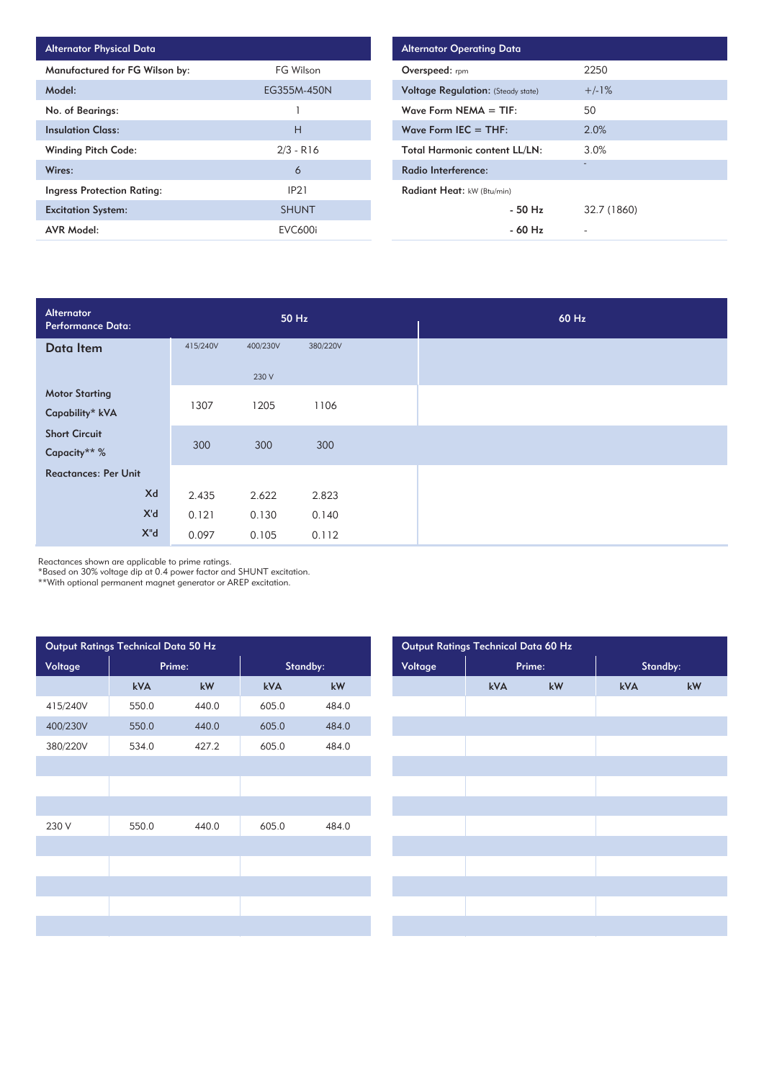| <b>Alternator Physical Data</b>   |                |
|-----------------------------------|----------------|
| Manufactured for FG Wilson by:    | FG Wilson      |
| Model:                            | EG355M-450N    |
| No. of Bearings:                  |                |
| <b>Insulation Class:</b>          | н              |
| <b>Winding Pitch Code:</b>        | $2/3 - R16$    |
| Wires:                            | 6              |
| <b>Ingress Protection Rating:</b> | IP21           |
| <b>Excitation System:</b>         | <b>SHUNT</b>   |
| AVR Model:                        | <b>EVC600i</b> |

| <b>Alternator Operating Data</b>          |             |  |  |
|-------------------------------------------|-------------|--|--|
| Overspeed: rpm                            | 2250        |  |  |
| <b>Voltage Regulation: (Steady state)</b> | $+/-1%$     |  |  |
| Wave Form $NEMA = TIF:$                   | 50          |  |  |
| Wave Form IEC $=$ THF:                    | 2.0%        |  |  |
| <b>Total Harmonic content LL/LN:</b>      | 3.0%        |  |  |
| Radio Interference:                       | -           |  |  |
| Radiant Heat: kW (Btu/min)                |             |  |  |
| $-50$ H <sub>z</sub>                      | 32.7 (1860) |  |  |
| $-60$ Hz                                  |             |  |  |

| Alternator<br><b>Performance Data:</b> |          | 50 Hz    |          | 60 Hz |
|----------------------------------------|----------|----------|----------|-------|
| Data Item                              | 415/240V | 400/230V | 380/220V |       |
|                                        |          | 230 V    |          |       |
| <b>Motor Starting</b>                  |          |          |          |       |
| Capability* kVA                        | 1307     | 1205     | 1106     |       |
| <b>Short Circuit</b>                   |          |          |          |       |
| Capacity** %                           | 300      | 300      | 300      |       |
| <b>Reactances: Per Unit</b>            |          |          |          |       |
| Xd                                     | 2.435    | 2.622    | 2.823    |       |
| X'd                                    | 0.121    | 0.130    | 0.140    |       |
| $X^{\mathsf{H}}$ d                     | 0.097    | 0.105    | 0.112    |       |

Reactances shown are applicable to prime ratings.

\*Based on 30% voltage dip at 0.4 power factor and SHUNT excitation.

\*\*With optional permanent magnet generator or AREP excitation.

| Output Ratings Technical Data 50 Hz |        |       |          |       |         | Output Ratings Technical Data 60 Hz |        |          |
|-------------------------------------|--------|-------|----------|-------|---------|-------------------------------------|--------|----------|
| Voltage                             | Prime: |       | Standby: |       | Voltage |                                     | Prime: | Standby: |
|                                     | kVA    | kW    | kVA      | kW    |         | kVA                                 | kW     | kVA      |
| 415/240V                            | 550.0  | 440.0 | 605.0    | 484.0 |         |                                     |        |          |
| 400/230V                            | 550.0  | 440.0 | 605.0    | 484.0 |         |                                     |        |          |
| 380/220V                            | 534.0  | 427.2 | 605.0    | 484.0 |         |                                     |        |          |
|                                     |        |       |          |       |         |                                     |        |          |
|                                     |        |       |          |       |         |                                     |        |          |
|                                     |        |       |          |       |         |                                     |        |          |
| 230 V                               | 550.0  | 440.0 | 605.0    | 484.0 |         |                                     |        |          |
|                                     |        |       |          |       |         |                                     |        |          |
|                                     |        |       |          |       |         |                                     |        |          |
|                                     |        |       |          |       |         |                                     |        |          |
|                                     |        |       |          |       |         |                                     |        |          |
|                                     |        |       |          |       |         |                                     |        |          |
|                                     |        |       |          |       |         |                                     |        |          |